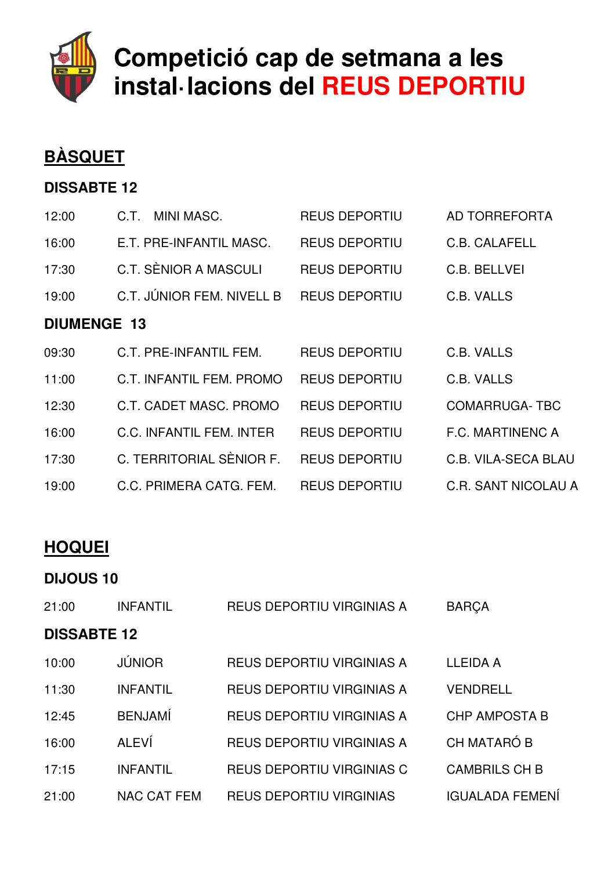

**Competició cap de setmana a les instal·lacions del REUS DEPORTIU** 

## **BÀSQUET**

### **DISSABTE 12**

| 12:00              | MINI MASC.<br>C.T.        | <b>REUS DEPORTIU</b> | AD TORREFORTA              |  |  |  |
|--------------------|---------------------------|----------------------|----------------------------|--|--|--|
| 16:00              | E.T. PRE-INFANTIL MASC.   | <b>REUS DEPORTIU</b> | C.B. CALAFELL              |  |  |  |
| 17:30              | C.T. SÈNIOR A MASCULI     | <b>REUS DEPORTIU</b> | C.B. BELLVEI               |  |  |  |
| 19:00              | C.T. JÚNIOR FEM. NIVELL B | <b>REUS DEPORTIU</b> | C.B. VALLS                 |  |  |  |
| <b>DIUMENGE 13</b> |                           |                      |                            |  |  |  |
| 09:30              | C.T. PRE-INFANTIL FEM.    | <b>REUS DEPORTIU</b> | C.B. VALLS                 |  |  |  |
| 11:00              | C.T. INFANTIL FEM. PROMO  | <b>REUS DEPORTIU</b> | C.B. VALLS                 |  |  |  |
| 12:30              | C.T. CADET MASC. PROMO    | <b>REUS DEPORTIU</b> | <b>COMARRUGA-TBC</b>       |  |  |  |
| 16:00              | C.C. INFANTIL FEM. INTER  | <b>REUS DEPORTIU</b> | <b>F.C. MARTINENC A</b>    |  |  |  |
| 17:30              | C. TERRITORIAL SÈNIOR F.  | <b>REUS DEPORTIU</b> | <b>C.B. VILA-SECA BLAU</b> |  |  |  |
| 19:00              | C.C. PRIMERA CATG. FEM.   | <b>REUS DEPORTIU</b> | C.R. SANT NICOLAU A        |  |  |  |

### **HOQUEI**

### **DIJOUS 10**

| 21:00              | <b>INFANTIL</b>    | <b>REUS DEPORTIU VIRGINIAS A</b> | <b>BARÇA</b>           |  |  |
|--------------------|--------------------|----------------------------------|------------------------|--|--|
| <b>DISSABTE 12</b> |                    |                                  |                        |  |  |
| 10:00              | <b>JÚNIOR</b>      | REUS DEPORTIU VIRGINIAS A        | <b>LLEIDA A</b>        |  |  |
| 11:30              | <b>INFANTIL</b>    | <b>REUS DEPORTIU VIRGINIAS A</b> | <b>VENDRELL</b>        |  |  |
| 12:45              | <b>BENJAMÍ</b>     | <b>REUS DEPORTIU VIRGINIAS A</b> | <b>CHP AMPOSTA B</b>   |  |  |
| 16:00              | <b>ALEVÍ</b>       | <b>REUS DEPORTIU VIRGINIAS A</b> | CH MATARÓ B            |  |  |
| 17:15              | <b>INFANTIL</b>    | <b>REUS DEPORTIU VIRGINIAS C</b> | <b>CAMBRILS CH B</b>   |  |  |
| 21:00              | <b>NAC CAT FEM</b> | <b>REUS DEPORTIU VIRGINIAS</b>   | <b>IGUALADA FEMENÍ</b> |  |  |